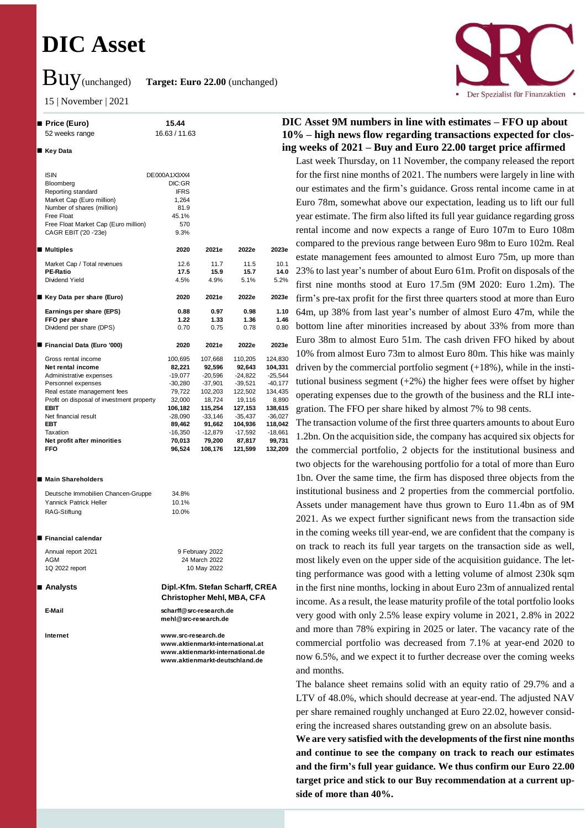# **DIC Asset**

Buy(unchanged) **Target: Euro 22.00** (unchanged)

15 | November | 2021

#### **Price (Euro) 15.44** 52 weeks range 16.63 / 11.63

#### ■ Key Data

| <b>ISIN</b>                               | DE000A1X3XX4<br>DIC:GR |           |           |           |
|-------------------------------------------|------------------------|-----------|-----------|-----------|
| Bloomberg<br>Reporting standard           | <b>IFRS</b>            |           |           |           |
| Market Cap (Euro million)                 | 1,264                  |           |           |           |
| Number of shares (million)                | 81.9                   |           |           |           |
| Free Float                                | 45.1%                  |           |           |           |
| Free Float Market Cap (Euro million)      | 570                    |           |           |           |
| CAGR EBIT ('20 -'23e)                     | 9.3%                   |           |           |           |
|                                           |                        |           |           |           |
| Multiples                                 | 2020                   | 2021e     | 2022e     | 2023e     |
| Market Cap / Total revenues               | 12.6                   | 11.7      | 11.5      | 10.1      |
| <b>PE-Ratio</b>                           | 17.5                   | 15.9      | 15.7      | 14.0      |
| Dividend Yield                            | 4.5%                   | 4.9%      | 5.1%      | 5.2%      |
|                                           |                        |           |           |           |
| ■ Key Data per share (Euro)               | 2020                   | 2021e     | 2022e     | 2023e     |
| Earnings per share (EPS)                  | 0.88                   | 0.97      | 0.98      | 1.10      |
| FFO per share                             | 1.22                   | 1.33      | 1.36      | 1.46      |
| Dividend per share (DPS)                  | 0.70                   | 0.75      | 0.78      | 0.80      |
| Financial Data (Euro '000)                | 2020                   | 2021e     | 2022e     | 2023e     |
|                                           |                        |           |           |           |
| Gross rental income                       | 100,695                | 107,668   | 110,205   | 124,830   |
| Net rental income                         | 82,221                 | 92,596    | 92,643    | 104,331   |
| Administrative expenses                   | $-19,077$              | $-20,596$ | $-24.822$ | $-25,544$ |
| Personnel expenses                        | $-30,280$              | $-37,901$ | $-39,521$ | $-40,177$ |
| Real estate management fees               | 79.722                 | 102,203   | 122.502   | 134,435   |
| Profit on disposal of investment property | 32,000                 | 18,724    | 19,116    | 8,890     |
| <b>EBIT</b>                               | 106,182                | 115,254   | 127,153   | 138,615   |
| Net financial result                      | $-28,090$              | $-33,146$ | $-35,437$ | $-36,027$ |
| <b>EBT</b>                                | 89,462                 | 91,662    | 104,936   | 118,042   |
| Taxation                                  | $-16,350$              | $-12,879$ | $-17,592$ | $-18,661$ |
| Net profit after minorities               | 70,013                 | 79,200    | 87,817    | 99,731    |
| <b>FFO</b>                                | 96,524                 | 108,176   | 121,599   | 132,209   |

#### ■ Main Shareholders

| Deutsche Immobilien Chancen-Gruppe | 34.8% |
|------------------------------------|-------|
| Yannick Patrick Heller             | 10.1% |
| RAG-Stiftung                       | 10.0% |

#### **Financial calendar**

Annual report 2021 9 February 2022 AGM 2022 1Q 2022 report 10 May 2022

 **Analysts Dipl.-Kfm. Stefan Scharff, CREA Christopher Mehl, MBA, CFA**

**E-Mail scharff@src-research.de mehl@src-research.de**

**Internet www.src-research.de www.aktienmarkt-international.at www.aktienmarkt-international.de www.aktienmarkt-deutschland.de**



# **DIC Asset 9M numbers in line with estimates – FFO up about 10% – high news flow regarding transactions expected for closing weeks of 2021 – Buy and Euro 22.00 target price affirmed**

Last week Thursday, on 11 November, the company released the report for the first nine months of 2021. The numbers were largely in line with our estimates and the firm's guidance. Gross rental income came in at Euro 78m, somewhat above our expectation, leading us to lift our full year estimate. The firm also lifted its full year guidance regarding gross rental income and now expects a range of Euro 107m to Euro 108m compared to the previous range between Euro 98m to Euro 102m. Real estate management fees amounted to almost Euro 75m, up more than 23% to last year's number of about Euro 61m. Profit on disposals of the first nine months stood at Euro 17.5m (9M 2020: Euro 1.2m). The firm's pre-tax profit for the first three quarters stood at more than Euro 64m, up 38% from last year's number of almost Euro 47m, while the bottom line after minorities increased by about 33% from more than Euro 38m to almost Euro 51m. The cash driven FFO hiked by about 10% from almost Euro 73m to almost Euro 80m. This hike was mainly driven by the commercial portfolio segment  $(+18%)$ , while in the institutional business segment  $(+2%)$  the higher fees were offset by higher operating expenses due to the growth of the business and the RLI integration. The FFO per share hiked by almost 7% to 98 cents.

The transaction volume of the first three quarters amounts to about Euro 1.2bn. On the acquisition side, the company has acquired six objects for the commercial portfolio, 2 objects for the institutional business and two objects for the warehousing portfolio for a total of more than Euro 1bn. Over the same time, the firm has disposed three objects from the institutional business and 2 properties from the commercial portfolio. Assets under management have thus grown to Euro 11.4bn as of 9M 2021. As we expect further significant news from the transaction side in the coming weeks till year-end, we are confident that the company is on track to reach its full year targets on the transaction side as well, most likely even on the upper side of the acquisition guidance. The letting performance was good with a letting volume of almost 230k sqm in the first nine months, locking in about Euro 23m of annualized rental income. As a result, the lease maturity profile of the total portfolio looks very good with only 2.5% lease expiry volume in 2021, 2.8% in 2022 and more than 78% expiring in 2025 or later. The vacancy rate of the commercial portfolio was decreased from 7.1% at year-end 2020 to now 6.5%, and we expect it to further decrease over the coming weeks and months.

The balance sheet remains solid with an equity ratio of 29.7% and a LTV of 48.0%, which should decrease at year-end. The adjusted NAV per share remained roughly unchanged at Euro 22.02, however considering the increased shares outstanding grew on an absolute basis.

**We are very satisfied with the developments of the first nine months and continue to see the company on track to reach our estimates and the firm's full year guidance. We thus confirm our Euro 22.00 target price and stick to our Buy recommendation at a current upside of more than 40%.**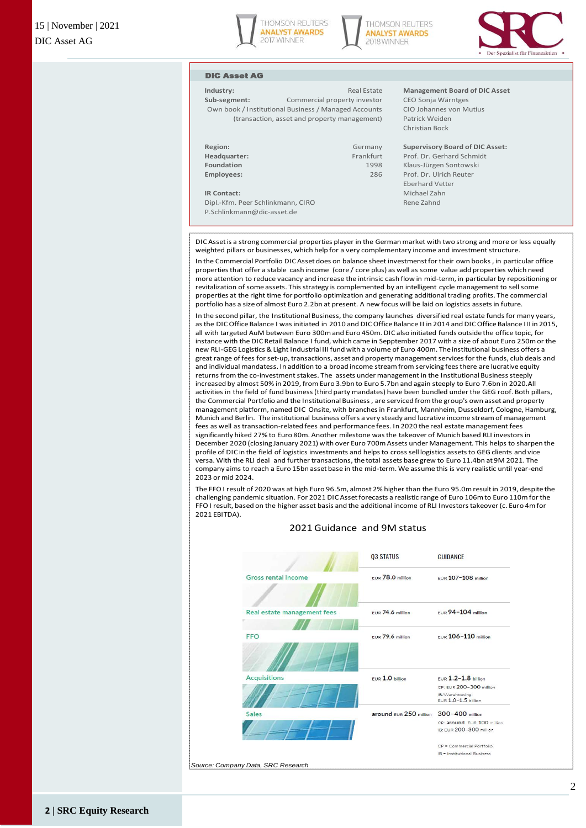





### DIC Asset AG

**Sub-segment:** Commercial property investor CEO Sonja Wärntges Own book / Institutional Business / Managed Accounts CIO Johannes von Mutius (transaction, asset and property management) Patrick Weiden

**Industry: Construction Construction Construction Real Estate Management Board of DIC Asset** Christian Bock

| Region:      | Germany   | <b>Supervisory B</b> |
|--------------|-----------|----------------------|
| Headquarter: | Frankfurt | Prof. Dr. Gerh       |
| Foundation   | 1998      | Klaus-Jürgen!        |
| Employees:   | 286       | Prof. Dr. Ulric      |
|              |           | <b>Eberhard Vett</b> |
| IR Contact:  |           | Michael Zahn         |

Dipl.-Kfm. Peer Schlinkmann, CIRO Rene Zahnd P.Schlinkmann@dic-asset.de

**Region:** Germany **Supervisory Board of DIC Asset:** Prof. Dr. Gerhard Schmidt **Foundation** 1998 Klaus-Jürgen Sontowski **Employees:** 286 Prof. Dr. Ulrich Reuter Eberhard Vetter

DIC Asset is a strong commercial properties player in the German market with two strong and more or less equally weighted pillars or businesses, which help for a very complementary income and investment structure.

In the Commercial Portfolio DIC Asset does on balance sheet investmenst for their own books , in particular office properties that offer a stable cash income (core / core plus) as well as some value add properties which need more attention to reduce vacancy and increase the intrinsic cash flow in mid-term, in particular by repositioning or revitalization of some assets. This strategy is complemented by an intelligent cycle management to sell some properties at the right time for portfolio optimization and generating additional trading profits. The commercial portfolio has a size of almost Euro 2.2bn at present. A new focus will be laid on logistics assets in future.

In the second pillar, the Institutional Business, the company launches diversified real estate funds for many years, as the DIC Office Balance I was initiated in 2010 and DIC Office Balance II in 2014 and DIC Office Balance III in 2015, all with targeted AuM between Euro 300m and Euro 450m. DIC also initiated funds outside the office topic, for instance with the DIC Retail Balance I fund, which came in Sepptember 2017 with a size of about Euro 250m or the new RLI-GEG Logistics & Light Industrial III fund with a volume of Euro 400m. The institutional business offers a great range of fees for set-up, transactions, asset and property management services for the funds, club deals and and individual mandatess. In addition to a broad income stream from servicing fees there are lucrative equity returns from the co-investment stakes. The assets under management in the Institutional Business steeply increased by almost 50% in 2019, from Euro 3.9bn to Euro 5.7bn and again steeply to Euro 7.6bn in 2020.All activities in the field of fund business (third party mandates) have been bundled under the GEG roof. Both pillars, the Commercial Portfolio and the Institutional Business , are serviced from the group's own asset and property management platform, named DIC Onsite, with branches in Frankfurt, Mannheim, Dusseldorf, Cologne, Hamburg, Munich and Berlin. The institutional business offers a very steady and lucrative income stream of management fees as well as transaction-related fees and performance fees. In 2020 the real estate management fees significantly hiked 27% to Euro 80m. Another milestone was the takeover of Munich based RLI investors in December 2020 (closing January 2021) with over Euro 700m Assets under Management. This helps to sharpen the profile of DIC in the field of logistics investments and helps to cross sell logistics assets to GEG clients and vice versa. With the RLI deal and further transactions, the total assets base grew to Euro 11.4bn at 9M 2021. The company aims to reach a Euro 15bn asset base in the mid-term. We assume this is very realistic until year-end 2023 or mid 2024.

The FFO I result of 2020 was at high Euro 96.5m, almost 2% higher than the Euro 95.0m result in 2019, despite the challenging pandemic situation. For 2021 DIC Asset forecasts a realistic range of Euro 106m to Euro 110m for the FFO I result, based on the higher asset basis and the additional income of RLI Investors takeover (c. Euro 4m for 2021 EBITDA).



### 2021 Guidance and 9M status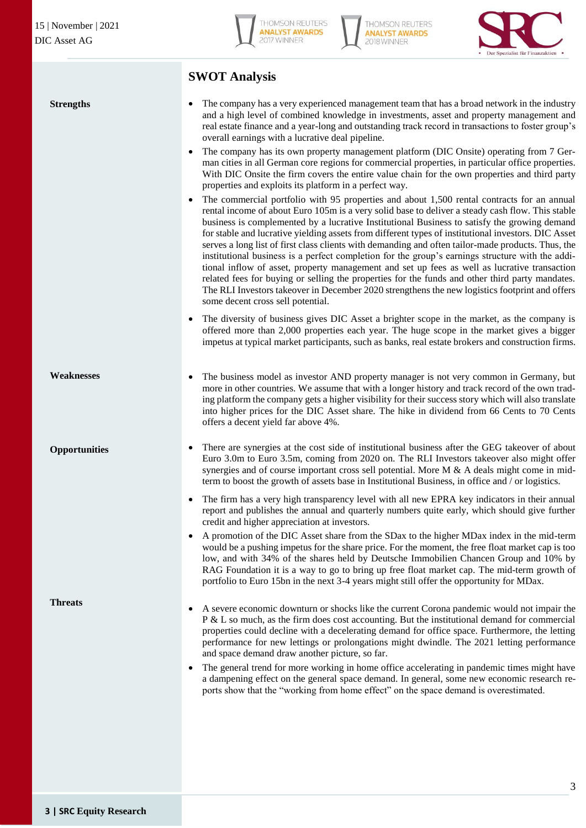**Strengths**



**THOMSON REUTERS ANALYST AWARDS** 2018 WINNER



# **SWOT Analysis**

 The company has a very experienced management team that has a broad network in the industry and a high level of combined knowledge in investments, asset and property management and real estate finance and a year-long and outstanding track record in transactions to foster group's overall earnings with a lucrative deal pipeline.

- The company has its own property management platform (DIC Onsite) operating from 7 German cities in all German core regions for commercial properties, in particular office properties. With DIC Onsite the firm covers the entire value chain for the own properties and third party properties and exploits its platform in a perfect way.
- The commercial portfolio with 95 properties and about 1,500 rental contracts for an annual rental income of about Euro 105m is a very solid base to deliver a steady cash flow. This stable business is complemented by a lucrative Institutional Business to satisfy the growing demand for stable and lucrative yielding assets from different types of institutional investors. DIC Asset serves a long list of first class clients with demanding and often tailor-made products. Thus, the institutional business is a perfect completion for the group's earnings structure with the additional inflow of asset, property management and set up fees as well as lucrative transaction related fees for buying or selling the properties for the funds and other third party mandates. The RLI Investors takeover in December 2020 strengthens the new logistics footprint and offers some decent cross sell potential.
- The diversity of business gives DIC Asset a brighter scope in the market, as the company is offered more than 2,000 properties each year. The huge scope in the market gives a bigger impetus at typical market participants, such as banks, real estate brokers and construction firms.
- The business model as investor AND property manager is not very common in Germany, but more in other countries. We assume that with a longer history and track record of the own trading platform the company gets a higher visibility for their success story which will also translate into higher prices for the DIC Asset share. The hike in dividend from 66 Cents to 70 Cents offers a decent yield far above 4%. **Weaknesses**

# **Opportunities**

**Threats**

- There are synergies at the cost side of institutional business after the GEG takeover of about Euro 3.0m to Euro 3.5m, coming from 2020 on. The RLI Investors takeover also might offer synergies and of course important cross sell potential. More M & A deals might come in midterm to boost the growth of assets base in Institutional Business, in office and / or logistics.
- The firm has a very high transparency level with all new EPRA key indicators in their annual report and publishes the annual and quarterly numbers quite early, which should give further credit and higher appreciation at investors.
- A promotion of the DIC Asset share from the SDax to the higher MDax index in the mid-term would be a pushing impetus for the share price. For the moment, the free float market cap is too low, and with 34% of the shares held by Deutsche Immobilien Chancen Group and 10% by RAG Foundation it is a way to go to bring up free float market cap. The mid-term growth of portfolio to Euro 15bn in the next 3-4 years might still offer the opportunity for MDax.
- A severe economic downturn or shocks like the current Corona pandemic would not impair the P & L so much, as the firm does cost accounting. But the institutional demand for commercial properties could decline with a decelerating demand for office space. Furthermore, the letting performance for new lettings or prolongations might dwindle. The 2021 letting performance and space demand draw another picture, so far.
- The general trend for more working in home office accelerating in pandemic times might have a dampening effect on the general space demand. In general, some new economic research reports show that the "working from home effect" on the space demand is overestimated.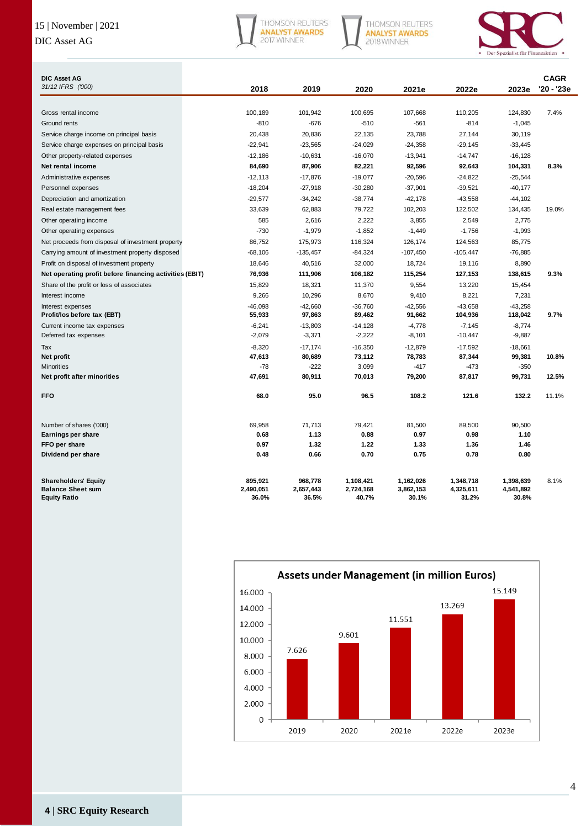# 15 | November | 2021

# DIC Asset AG



THOMSON REUTERS<br>**ANALYST AWARDS**<br>2018 WINNER



| <b>DIC Asset AG</b><br>31/12 IFRS ('000)                                       |                               |                               |                                 |                                 |                                 |                                 | <b>CAGR</b> |
|--------------------------------------------------------------------------------|-------------------------------|-------------------------------|---------------------------------|---------------------------------|---------------------------------|---------------------------------|-------------|
|                                                                                | 2018                          | 2019                          | 2020                            | 2021e                           | 2022e                           | 2023e                           | '20 - '23e  |
|                                                                                |                               |                               |                                 |                                 |                                 |                                 |             |
| Gross rental income                                                            | 100,189                       | 101,942                       | 100,695                         | 107,668                         | 110,205                         | 124,830                         | 7.4%        |
| Ground rents                                                                   | $-810$                        | $-676$                        | $-510$                          | $-561$                          | $-814$                          | $-1,045$                        |             |
| Service charge income on principal basis                                       | 20,438                        | 20,836                        | 22,135                          | 23,788                          | 27,144                          | 30,119                          |             |
| Service charge expenses on principal basis                                     | $-22,941$                     | $-23,565$                     | $-24,029$                       | $-24,358$                       | $-29,145$                       | $-33,445$                       |             |
| Other property-related expenses                                                | $-12,186$                     | $-10,631$                     | $-16,070$                       | $-13,941$                       | $-14,747$                       | $-16, 128$                      |             |
| Net rental income                                                              | 84,690                        | 87,906                        | 82,221                          | 92,596                          | 92,643                          | 104,331                         | 8.3%        |
| Administrative expenses                                                        | $-12,113$                     | $-17,876$                     | $-19,077$                       | $-20,596$                       | $-24,822$                       | $-25,544$                       |             |
| Personnel expenses                                                             | $-18,204$                     | $-27,918$                     | $-30,280$                       | $-37,901$                       | $-39,521$                       | $-40,177$                       |             |
| Depreciation and amortization                                                  | $-29,577$                     | $-34,242$                     | $-38,774$                       | $-42,178$                       | $-43,558$                       | $-44,102$                       |             |
| Real estate management fees                                                    | 33,639                        | 62,883                        | 79,722                          | 102,203                         | 122,502                         | 134,435                         | 19.0%       |
| Other operating income                                                         | 585                           | 2,616                         | 2,222                           | 3,855                           | 2,549                           | 2,775                           |             |
| Other operating expenses                                                       | $-730$                        | $-1,979$                      | $-1,852$                        | $-1,449$                        | $-1,756$                        | $-1,993$                        |             |
| Net proceeds from disposal of investment property                              | 86,752                        | 175,973                       | 116,324                         | 126,174                         | 124,563                         | 85,775                          |             |
| Carrying amount of investment property disposed                                | $-68,106$                     | $-135,457$                    | $-84,324$                       | $-107,450$                      | $-105,447$                      | $-76,885$                       |             |
| Profit on disposal of investment property                                      | 18,646                        | 40,516                        | 32,000                          | 18.724                          | 19,116                          | 8,890                           |             |
| Net operating profit before financing activities (EBIT)                        | 76,936                        | 111,906                       | 106,182                         | 115,254                         | 127,153                         | 138,615                         | 9.3%        |
| Share of the profit or loss of associates                                      | 15,829                        | 18,321                        | 11,370                          | 9,554                           | 13,220                          | 15,454                          |             |
| Interest income                                                                | 9,266                         | 10,296                        | 8,670                           | 9,410                           | 8,221                           | 7,231                           |             |
| Interest expenses<br>Profit/los before tax (EBT)                               | $-46,098$<br>55,933           | $-42,660$<br>97,863           | $-36,760$<br>89,462             | $-42,556$<br>91,662             | $-43,658$<br>104,936            | $-43,258$<br>118,042            | 9.7%        |
| Current income tax expenses                                                    | $-6,241$                      | $-13,803$                     | $-14,128$                       | $-4,778$                        | $-7,145$                        | $-8,774$                        |             |
| Deferred tax expenses                                                          | $-2,079$                      | $-3,371$                      | $-2,222$                        | $-8,101$                        | $-10,447$                       | $-9,887$                        |             |
| Tax                                                                            | $-8,320$                      | $-17,174$                     | $-16,350$                       | $-12,879$                       | $-17,592$                       | $-18,661$                       |             |
| Net profit                                                                     | 47,613                        | 80,689                        | 73,112                          | 78,783                          | 87,344                          | 99,381                          | 10.8%       |
| <b>Minorities</b>                                                              | $-78$                         | $-222$                        | 3,099                           | $-417$                          | $-473$                          | $-350$                          |             |
| Net profit after minorities                                                    | 47,691                        | 80,911                        | 70,013                          | 79,200                          | 87,817                          | 99,731                          | 12.5%       |
| <b>FFO</b>                                                                     | 68.0                          | 95.0                          | 96.5                            | 108.2                           | 121.6                           | 132.2                           | 11.1%       |
| Number of shares ('000)                                                        | 69,958                        | 71,713                        | 79,421                          | 81,500                          | 89,500                          | 90,500                          |             |
| Earnings per share                                                             | 0.68                          | 1.13                          | 0.88                            | 0.97                            | 0.98                            | 1.10                            |             |
| FFO per share                                                                  | 0.97                          | 1.32                          | 1.22                            | 1.33                            | 1.36                            | 1.46                            |             |
| Dividend per share                                                             | 0.48                          | 0.66                          | 0.70                            | 0.75                            | 0.78                            | 0.80                            |             |
| <b>Shareholders' Equity</b><br><b>Balance Sheet sum</b><br><b>Equity Ratio</b> | 895,921<br>2,490,051<br>36.0% | 968,778<br>2,657,443<br>36.5% | 1,108,421<br>2,724,168<br>40.7% | 1,162,026<br>3,862,153<br>30.1% | 1,348,718<br>4,325,611<br>31.2% | 1,398,639<br>4,541,892<br>30.8% | 8.1%        |